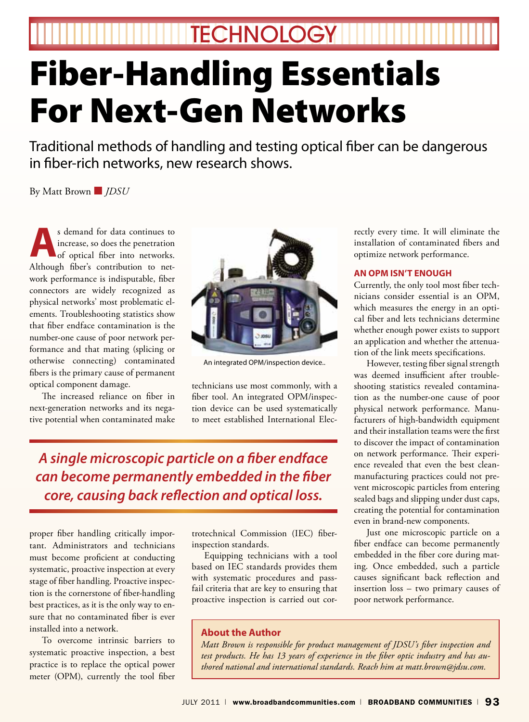**TECHNOLOGY** 

# Fiber-Handling Essentials For Next-Gen Networks

Traditional methods of handling and testing optical fiber can be dangerous in fiber-rich networks, new research shows.

By Matt Brown ■ *JDSU*

s demand for data continues to<br>increase, so does the penetration<br>of optical fiber into networks. increase, so does the penetration of optical fiber into networks. Although fiber's contribution to network performance is indisputable, fiber connectors are widely recognized as physical networks' most problematic elements. Troubleshooting statistics show that fiber endface contamination is the number-one cause of poor network performance and that mating (splicing or otherwise connecting) contaminated fibers is the primary cause of permanent optical component damage.

The increased reliance on fiber in next-generation networks and its negative potential when contaminated make



An integrated OPM/inspection device..

technicians use most commonly, with a fiber tool. An integrated OPM/inspection device can be used systematically to meet established International Elec-

*A single microscopic particle on a fiber endface can become permanently embedded in the fiber core, causing back reflection and optical loss.*

proper fiber handling critically important. Administrators and technicians must become proficient at conducting systematic, proactive inspection at every stage of fiber handling. Proactive inspection is the cornerstone of fiber-handling best practices, as it is the only way to ensure that no contaminated fiber is ever installed into a network.

To overcome intrinsic barriers to systematic proactive inspection, a best practice is to replace the optical power meter (OPM), currently the tool fiber

trotechnical Commission (IEC) fiberinspection standards.

Equipping technicians with a tool based on IEC standards provides them with systematic procedures and passfail criteria that are key to ensuring that proactive inspection is carried out cor-

## **About the Author**

*Matt Brown is responsible for product management of JDSU's fiber inspection and test products. He has 13 years of experience in the fiber optic industry and has authored national and international standards. Reach him at matt.brown@jdsu.com.* 

rectly every time. It will eliminate the installation of contaminated fibers and optimize network performance.

### **An OPM Isn't Enough**

Currently, the only tool most fiber technicians consider essential is an OPM, which measures the energy in an optical fiber and lets technicians determine whether enough power exists to support an application and whether the attenuation of the link meets specifications.

However, testing fiber signal strength was deemed insufficient after troubleshooting statistics revealed contamination as the number-one cause of poor physical network performance. Manufacturers of high-bandwidth equipment and their installation teams were the first to discover the impact of contamination on network performance. Their experience revealed that even the best cleanmanufacturing practices could not prevent microscopic particles from entering sealed bags and slipping under dust caps, creating the potential for contamination even in brand-new components.

Just one microscopic particle on a fiber endface can become permanently embedded in the fiber core during mating. Once embedded, such a particle causes significant back reflection and insertion loss – two primary causes of poor network performance.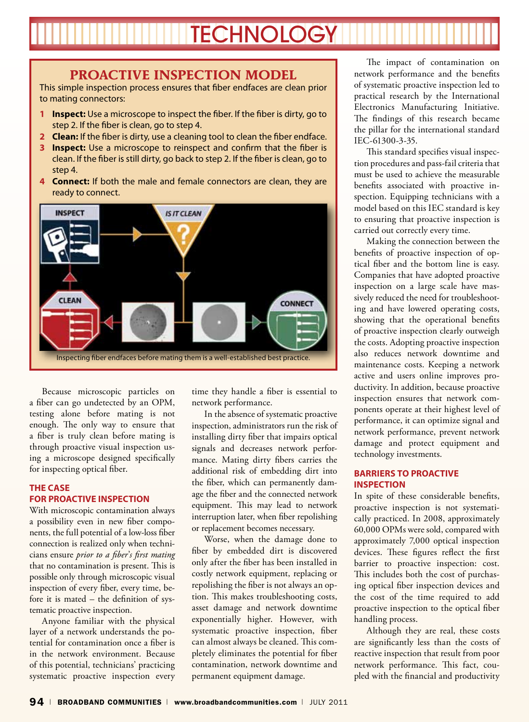## **TECHNOLOGY**

## **Proactive Inspection Model**

This simple inspection process ensures that fiber endfaces are clean prior to mating connectors:

- **1 Inspect:** Use a microscope to inspect the fiber. If the fiber is dirty, go to step 2. If the fiber is clean, go to step 4.
- **2 Clean:** If the fiber is dirty, use a cleaning tool to clean the fiber endface.
- **3 Inspect:** Use a microscope to reinspect and confirm that the fiber is clean. If the fiber is still dirty, go back to step 2. If the fiber is clean, go to step 4.
- **4 Connect:** If both the male and female connectors are clean, they are ready to connect.



Because microscopic particles on a fiber can go undetected by an OPM, testing alone before mating is not enough. The only way to ensure that a fiber is truly clean before mating is through proactive visual inspection using a microscope designed specifically for inspecting optical fiber.

## **The Case for Proactive Inspection**

With microscopic contamination always a possibility even in new fiber components, the full potential of a low-loss fiber connection is realized only when technicians ensure *prior to a fiber*'*s first mating* that no contamination is present. This is possible only through microscopic visual inspection of every fiber, every time, before it is mated – the definition of systematic proactive inspection.

Anyone familiar with the physical layer of a network understands the potential for contamination once a fiber is in the network environment. Because of this potential, technicians' practicing systematic proactive inspection every

time they handle a fiber is essential to network performance.

In the absence of systematic proactive inspection, administrators run the risk of installing dirty fiber that impairs optical signals and decreases network performance. Mating dirty fibers carries the additional risk of embedding dirt into the fiber, which can permanently damage the fiber and the connected network equipment. This may lead to network interruption later, when fiber repolishing or replacement becomes necessary.

Worse, when the damage done to fiber by embedded dirt is discovered only after the fiber has been installed in costly network equipment, replacing or repolishing the fiber is not always an option. This makes troubleshooting costs, asset damage and network downtime exponentially higher. However, with systematic proactive inspection, fiber can almost always be cleaned. This completely eliminates the potential for fiber contamination, network downtime and permanent equipment damage.

The impact of contamination on network performance and the benefits of systematic proactive inspection led to practical research by the International Electronics Manufacturing Initiative. The findings of this research became the pillar for the international standard IEC-61300-3-35.

This standard specifies visual inspection procedures and pass-fail criteria that must be used to achieve the measurable benefits associated with proactive inspection. Equipping technicians with a model based on this IEC standard is key to ensuring that proactive inspection is carried out correctly every time.

Making the connection between the benefits of proactive inspection of optical fiber and the bottom line is easy. Companies that have adopted proactive inspection on a large scale have massively reduced the need for troubleshooting and have lowered operating costs, showing that the operational benefits of proactive inspection clearly outweigh the costs. Adopting proactive inspection also reduces network downtime and maintenance costs. Keeping a network active and users online improves productivity. In addition, because proactive inspection ensures that network components operate at their highest level of performance, it can optimize signal and network performance, prevent network damage and protect equipment and technology investments.

## **Barriers to Proactive Inspection**

In spite of these considerable benefits, proactive inspection is not systematically practiced. In 2008, approximately 60,000 OPMs were sold, compared with approximately 7,000 optical inspection devices. These figures reflect the first barrier to proactive inspection: cost. This includes both the cost of purchasing optical fiber inspection devices and the cost of the time required to add proactive inspection to the optical fiber handling process.

Although they are real, these costs are significantly less than the costs of reactive inspection that result from poor network performance. This fact, coupled with the financial and productivity